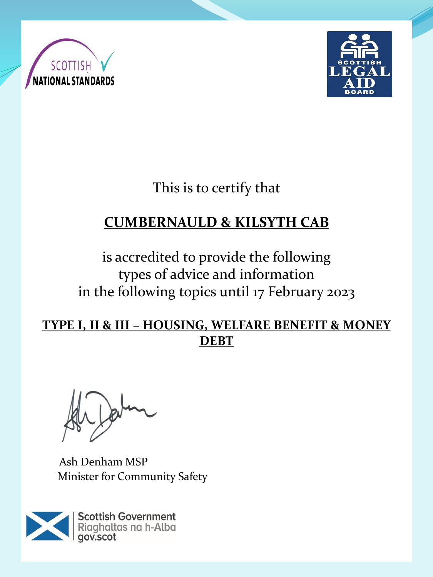



This is to certify that

# **CUMBERNAULD & KILSYTH CAB**

is accredited to provide the following types of advice and information in the following topics until 17 February 2023

#### **TYPE I, II & III – HOUSING, WELFARE BENEFIT & MONEY DEBT**

Ash Denham MSP Minister for Community Safety

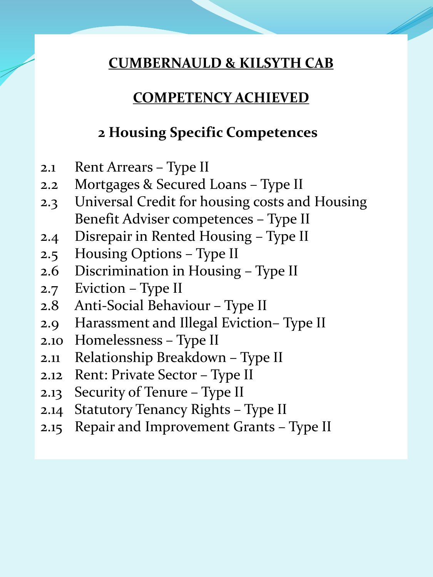### **COMPETENCY ACHIEVED**

### **2 Housing Specific Competences**

- 2.1 Rent Arrears Type II
- 2.2 Mortgages & Secured Loans Type II
- 2.3 Universal Credit for housing costs and Housing Benefit Adviser competences – Type II
- 2.4 Disrepair in Rented Housing Type II
- 2.5 Housing Options Type II
- 2.6 Discrimination in Housing Type II
- 2.7 Eviction Type II
- 2.8 Anti-Social Behaviour Type II
- 2.9 Harassment and Illegal Eviction– Type II
- 2.10 Homelessness Type II
- 2.11 Relationship Breakdown Type II
- 2.12 Rent: Private Sector Type II
- 2.13 Security of Tenure Type II
- 2.14 Statutory Tenancy Rights Type II
- 2.15 Repair and Improvement Grants Type II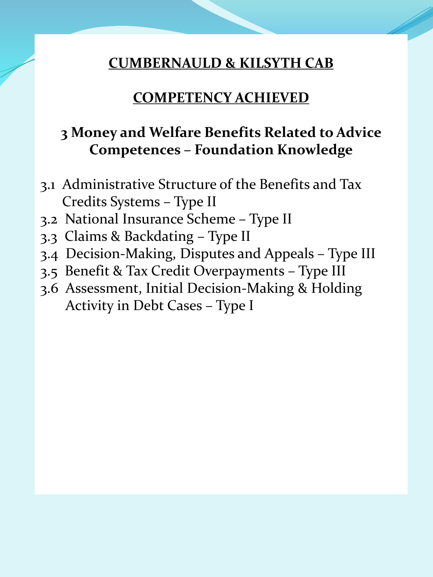#### **COMPETENCY ACHIEVED**

### **3 Money and Welfare Benefits Related to Advice Competences – Foundation Knowledge**

- 3.1 Administrative Structure of the Benefits and Tax Credits Systems – Type II
- 3.2 National Insurance Scheme Type II
- 3.3 Claims & Backdating Type II
- 3.4 Decision-Making, Disputes and Appeals Type III
- 3.5 Benefit & Tax Credit Overpayments Type III
- 3.6 Assessment, Initial Decision-Making & Holding Activity in Debt Cases – Type I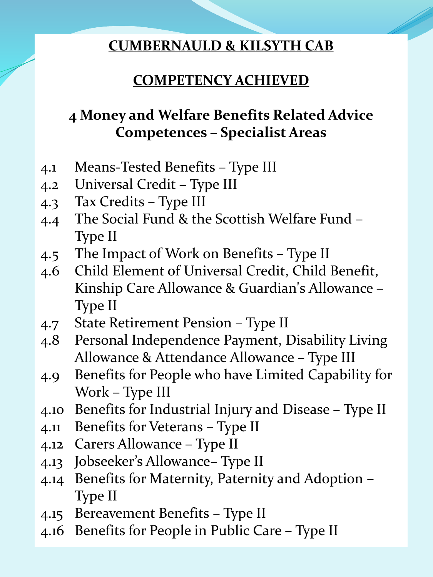## **COMPETENCY ACHIEVED**

# **4 Money and Welfare Benefits Related Advice Competences – Specialist Areas**

- 4.1 Means-Tested Benefits Type III
- 4.2 Universal Credit Type III
- 4.3 Tax Credits Type III
- 4.4 The Social Fund & the Scottish Welfare Fund Type II
- 4.5 The Impact of Work on Benefits Type II
- 4.6 Child Element of Universal Credit, Child Benefit, Kinship Care Allowance & Guardian's Allowance – Type II
- 4.7 State Retirement Pension Type II
- 4.8 Personal Independence Payment, Disability Living Allowance & Attendance Allowance – Type III
- 4.9 Benefits for People who have Limited Capability for Work – Type III
- 4.10 Benefits for Industrial Injury and Disease Type II
- 4.11 Benefits for Veterans Type II
- 4.12 Carers Allowance Type II
- 4.13 Jobseeker's Allowance– Type II
- 4.14 Benefits for Maternity, Paternity and Adoption Type II
- 4.15 Bereavement Benefits Type II
- 4.16 Benefits for People in Public Care Type II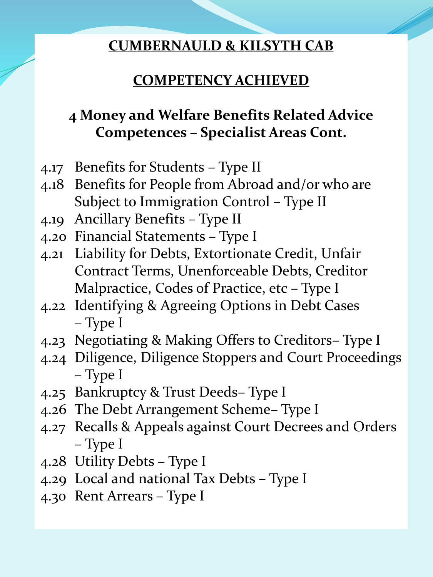## **COMPETENCY ACHIEVED**

# **4 Money and Welfare Benefits Related Advice Competences – Specialist Areas Cont.**

- 4.17 Benefits for Students Type II
- 4.18 Benefits for People from Abroad and/or who are Subject to Immigration Control – Type II
- 4.19 Ancillary Benefits Type II
- 4.20 Financial Statements Type I
- 4.21 Liability for Debts, Extortionate Credit, Unfair Contract Terms, Unenforceable Debts, Creditor Malpractice, Codes of Practice, etc – Type I
- 4.22 Identifying & Agreeing Options in Debt Cases – Type I
- 4.23 Negotiating & Making Offers to Creditors– Type I
- 4.24 Diligence, Diligence Stoppers and Court Proceedings – Type I
- 4.25 Bankruptcy & Trust Deeds– Type I
- 4.26 The Debt Arrangement Scheme– Type I
- 4.27 Recalls & Appeals against Court Decrees and Orders – Type I
- 4.28 Utility Debts Type I
- 4.29 Local and national Tax Debts Type I
- 4.30 Rent Arrears Type I